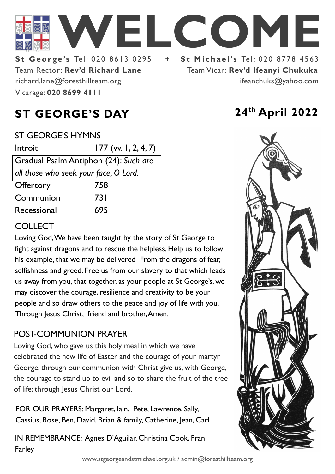

Team Rector: **Rev'd Richard Lane St George's Tel: 020 8613 0295** Vicarage: **020 8699 4111**  richard.lane@foresthillteam.org

# Team Vicar: **Rev'd Ifeanyi Chukuka** ifeanchuks@yahoo.com

## **ST GEORGE'S DAY 24th April 2022**

#### ST GEORGE'S HYMNS

| Introit                               | $177$ (vv. 1, 2, 4, 7) |
|---------------------------------------|------------------------|
| Gradual Psalm Antiphon (24): Such are |                        |
| all those who seek your face, O Lord. |                        |
| Offertory                             | 758                    |
| Communion                             | 73 I                   |
| Recessional                           | 695                    |

#### **COLLECT**

Loving God, We have been taught by the story of St George to fight against dragons and to rescue the helpless. Help us to follow his example, that we may be delivered From the dragons of fear, selfishness and greed. Free us from our slavery to that which leads us away from you, that together, as your people at St George's, we may discover the courage, resilience and creativity to be your people and so draw others to the peace and joy of life with you. Through Jesus Christ, friend and brother, Amen.

#### POST-COMMUNION PRAYER

Loving God, who gave us this holy meal in which we have celebrated the new life of Easter and the courage of your martyr George: through our communion with Christ give us, with George, the courage to stand up to evil and so to share the fruit of the tree of life; through Jesus Christ our Lord.

FOR OUR PRAYERS: Margaret, Iain, Pete, Lawrence, Sally, Cassius, Rose, Ben, David, Brian & family, Catherine, Jean, Carl

IN REMEMBRANCE: Agnes D'Aguilar, Christina Cook, Fran Farley

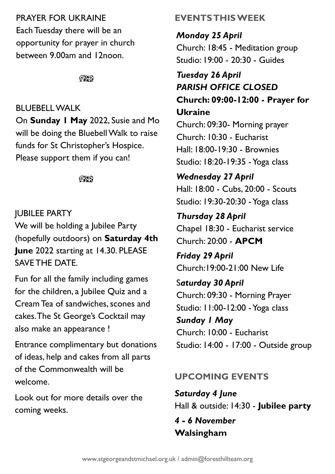### PRAYER FOR UKRAINE

Each Tuesday there will be an opportunity for prayer in church between 9.00am and 12noon.

 $@$ 

#### BLUEBELL WALK

On **Sunday 1 May** 2022, Susie and Mo will be doing the Bluebell Walk to raise funds for St Christopher's Hospice. Please support them if you can!

೧೪೧

#### JUBILEE PARTY

We will be holding a Jubilee Party (hopefully outdoors) on **Saturday 4th June** 2022 starting at 14.30. PLEASE SAVE THE DATE.

Fun for all the family including games for the children, a Jubilee Quiz and a Cream Tea of sandwiches, scones and cakes. The St George's Cocktail may also make an appearance !

Entrance complimentary but donations of ideas, help and cakes from all parts of the Commonwealth will be welcome.

Look out for more details over the coming weeks.

### **EVENTS THIS WEEK**

*Monday 25 April* Church: 18:45 - Meditation group Studio: 19:00 - 20:30 - Guides

#### *Tuesday 26 April PARISH OFFICE CLOSED* **Church: 09:00-12:00 - Prayer for Ukraine**

Church: 09:30- Morning prayer Church: 10:30 - Eucharist Hall: 18:00-19:30 - Brownies Studio: 18:20-19:35 -Yoga class

*Wednesday 27 April* Hall: 18:00 - Cubs, 20:00 - Scouts Studio: 19:30-20:30 -Yoga class

*Thursday 28 April* Chapel 18:30 - Eucharist service Church: 20:00 - **APCM**

*Friday 29 April* Church:19:00-21:00 New Life

S*aturday 30 April* Church: 09:30 - Morning Prayer Studio: 11:00-12:00 - Yoga class

*Sunday 1 May* Church: 10:00 - Eucharist Studio: 14:00 - 17:00 - Outside group

### **UPCOMING EVENTS**

*Saturday 4 June* Hall & outside: 14:30 - **Jubilee party**

### *4 - 6 November* **Walsingham**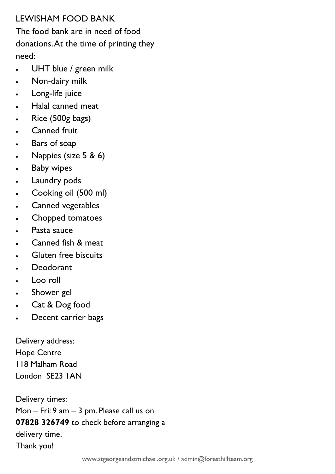#### LEWISHAM FOOD BANK

The food bank are in need of food donations. At the time of printing they need:

- UHT blue / green milk
- Non-dairy milk
- Long-life juice
- Halal canned meat
- Rice (500g bags)
- Canned fruit
- Bars of soap
- Nappies (size 5 & 6)
- **Baby wipes**
- Laundry pods
- Cooking oil (500 ml)
- Canned vegetables
- Chopped tomatoes
- Pasta sauce
- Canned fish & meat
- Gluten free biscuits
- Deodorant
- Loo roll
- Shower gel
- Cat & Dog food
- Decent carrier bags

Delivery address: Hope Centre 118 Malham Road London SE23 1AN

Delivery times: Mon – Fri: 9 am – 3 pm. Please call us on **07828 326749** to check before arranging a delivery time. Thank you!